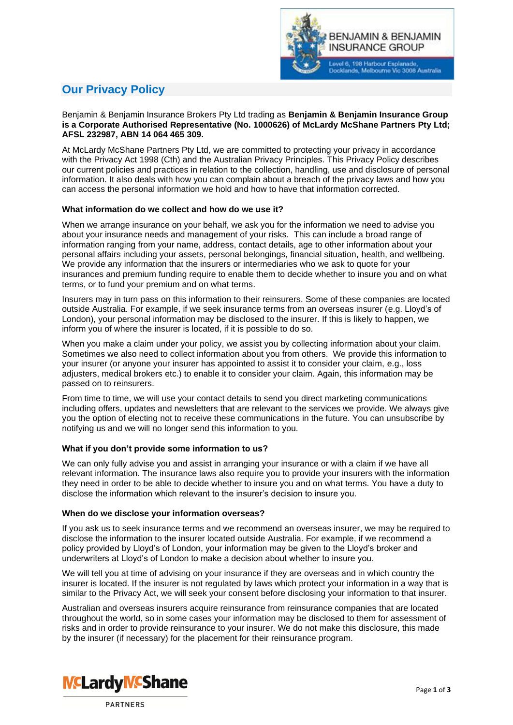

# **Our Privacy Policy**

## Benjamin & Benjamin Insurance Brokers Pty Ltd trading as **Benjamin & Benjamin Insurance Group is a Corporate Authorised Representative (No. 1000626) of McLardy McShane Partners Pty Ltd; AFSL 232987, ABN 14 064 465 309.**

At McLardy McShane Partners Pty Ltd, we are committed to protecting your privacy in accordance with the Privacy Act 1998 (Cth) and the Australian Privacy Principles. This Privacy Policy describes our current policies and practices in relation to the collection, handling, use and disclosure of personal information. It also deals with how you can complain about a breach of the privacy laws and how you can access the personal information we hold and how to have that information corrected.

## **What information do we collect and how do we use it?**

When we arrange insurance on your behalf, we ask you for the information we need to advise you about your insurance needs and management of your risks. This can include a broad range of information ranging from your name, address, contact details, age to other information about your personal affairs including your assets, personal belongings, financial situation, health, and wellbeing. We provide any information that the insurers or intermediaries who we ask to quote for your insurances and premium funding require to enable them to decide whether to insure you and on what terms, or to fund your premium and on what terms.

Insurers may in turn pass on this information to their reinsurers. Some of these companies are located outside Australia. For example, if we seek insurance terms from an overseas insurer (e.g. Lloyd's of London), your personal information may be disclosed to the insurer. If this is likely to happen, we inform you of where the insurer is located, if it is possible to do so.

When you make a claim under your policy, we assist you by collecting information about your claim. Sometimes we also need to collect information about you from others. We provide this information to your insurer (or anyone your insurer has appointed to assist it to consider your claim, e.g., loss adjusters, medical brokers etc.) to enable it to consider your claim. Again, this information may be passed on to reinsurers.

From time to time, we will use your contact details to send you direct marketing communications including offers, updates and newsletters that are relevant to the services we provide. We always give you the option of electing not to receive these communications in the future. You can unsubscribe by notifying us and we will no longer send this information to you.

# **What if you don't provide some information to us?**

We can only fully advise you and assist in arranging your insurance or with a claim if we have all relevant information. The insurance laws also require you to provide your insurers with the information they need in order to be able to decide whether to insure you and on what terms. You have a duty to disclose the information which relevant to the insurer's decision to insure you.

#### **When do we disclose your information overseas?**

If you ask us to seek insurance terms and we recommend an overseas insurer, we may be required to disclose the information to the insurer located outside Australia. For example, if we recommend a policy provided by Lloyd's of London, your information may be given to the Lloyd's broker and underwriters at Lloyd's of London to make a decision about whether to insure you.

We will tell you at time of advising on your insurance if they are overseas and in which country the insurer is located. If the insurer is not regulated by laws which protect your information in a way that is similar to the Privacy Act, we will seek your consent before disclosing your information to that insurer.

Australian and overseas insurers acquire reinsurance from reinsurance companies that are located throughout the world, so in some cases your information may be disclosed to them for assessment of risks and in order to provide reinsurance to your insurer. We do not make this disclosure, this made by the insurer (if necessary) for the placement for their reinsurance program.



**PARTNERS**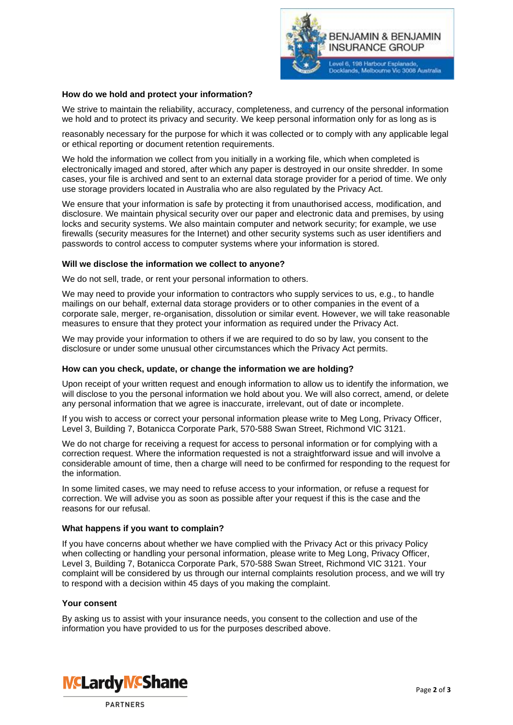

#### **How do we hold and protect your information?**

We strive to maintain the reliability, accuracy, completeness, and currency of the personal information we hold and to protect its privacy and security. We keep personal information only for as long as is

reasonably necessary for the purpose for which it was collected or to comply with any applicable legal or ethical reporting or document retention requirements.

We hold the information we collect from you initially in a working file, which when completed is electronically imaged and stored, after which any paper is destroyed in our onsite shredder. In some cases, your file is archived and sent to an external data storage provider for a period of time. We only use storage providers located in Australia who are also regulated by the Privacy Act.

We ensure that your information is safe by protecting it from unauthorised access, modification, and disclosure. We maintain physical security over our paper and electronic data and premises, by using locks and security systems. We also maintain computer and network security; for example, we use firewalls (security measures for the Internet) and other security systems such as user identifiers and passwords to control access to computer systems where your information is stored.

#### **Will we disclose the information we collect to anyone?**

We do not sell, trade, or rent your personal information to others.

We may need to provide your information to contractors who supply services to us, e.g., to handle mailings on our behalf, external data storage providers or to other companies in the event of a corporate sale, merger, re-organisation, dissolution or similar event. However, we will take reasonable measures to ensure that they protect your information as required under the Privacy Act.

We may provide your information to others if we are required to do so by law, you consent to the disclosure or under some unusual other circumstances which the Privacy Act permits.

#### **How can you check, update, or change the information we are holding?**

Upon receipt of your written request and enough information to allow us to identify the information, we will disclose to you the personal information we hold about you. We will also correct, amend, or delete any personal information that we agree is inaccurate, irrelevant, out of date or incomplete.

If you wish to access or correct your personal information please write to Meg Long, Privacy Officer, Level 3, Building 7, Botanicca Corporate Park, 570-588 Swan Street, Richmond VIC 3121.

We do not charge for receiving a request for access to personal information or for complying with a correction request. Where the information requested is not a straightforward issue and will involve a considerable amount of time, then a charge will need to be confirmed for responding to the request for the information.

In some limited cases, we may need to refuse access to your information, or refuse a request for correction. We will advise you as soon as possible after your request if this is the case and the reasons for our refusal.

#### **What happens if you want to complain?**

If you have concerns about whether we have complied with the Privacy Act or this privacy Policy when collecting or handling your personal information, please write to Meg Long, Privacy Officer, Level 3, Building 7, Botanicca Corporate Park, 570-588 Swan Street, Richmond VIC 3121. Your complaint will be considered by us through our internal complaints resolution process, and we will try to respond with a decision within 45 days of you making the complaint.

#### **Your consent**

By asking us to assist with your insurance needs, you consent to the collection and use of the information you have provided to us for the purposes described above.



**PARTNERS**